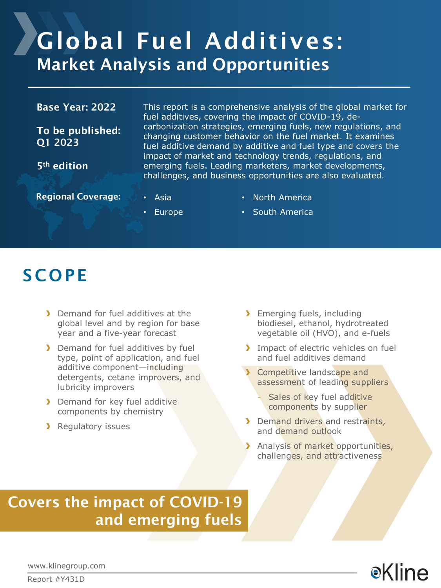# Global Fuel Additives: Market Analysis and Opportunities

#### Base Year: 2022

To be published: Q1 2023

5th edition

This report is a comprehensive analysis of the global market for fuel additives, covering the impact of COVID-19, decarbonization strategies, emerging fuels, new regulations, and changing customer behavior on the fuel market. It examines fuel additive demand by additive and fuel type and covers the impact of market and technology trends, regulations, and emerging fuels. Leading marketers, market developments, challenges, and business opportunities are also evaluated.

Regional Coverage: **• Asia** 

- North America
- Europe
- South America

### **SCOPE**

- **Demand for fuel additives at the** global level and by region for base year and a five-year forecast
- Demand for fuel additives by fuel type, point of application, and fuel additive component—including detergents, cetane improvers, and lubricity improvers
- **Demand for key fuel additive** components by chemistry
- **Regulatory issues**
- > Emerging fuels, including biodiesel, ethanol, hydrotreated vegetable oil (HVO), and e-fuels
- Impact of electric vehicles on fuel and fuel additives demand
- Competitive landscape and assessment of leading suppliers
	- Sales of key fuel additive components by supplier
- Demand drivers and restraints, and demand outlook
- Analysis of market opportunities, challenges, and attractiveness

### Covers the impact of COVID-19 and emerging fuels



www.klinegroup.com

Report #Y431D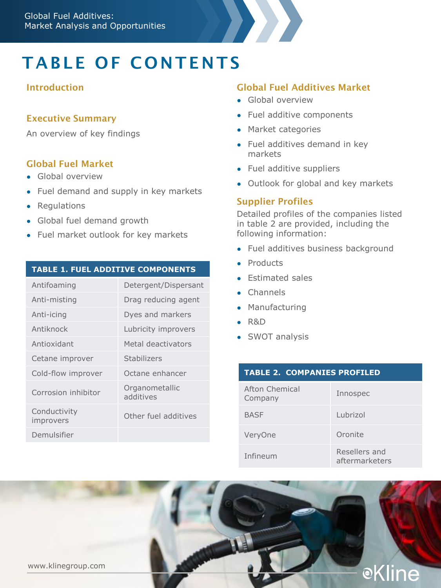# TABLE OF CONTENTS

#### Introduction

#### Executive Summary

An overview of key findings

#### Global Fuel Market

- Global overview
- Fuel demand and supply in key markets
- Regulations
- Global fuel demand growth
- Fuel market outlook for key markets

#### **TABLE 1. FUEL ADDITIVE COMPONENTS**

| Antifoaming               | Detergent/Dispersant        |
|---------------------------|-----------------------------|
| Anti-misting              | Drag reducing agent         |
| Anti-icing                | Dyes and markers            |
| Antiknock                 | Lubricity improvers         |
| Antioxidant               | Metal deactivators          |
| Cetane improver           | Stabilizers                 |
| Cold-flow improver        | Octane enhancer             |
| Corrosion inhibitor       | Organometallic<br>additives |
| Conductivity<br>improvers | Other fuel additives        |
| Demulsifier               |                             |

#### Global Fuel Additives Market

- Global overview
- Fuel additive components
- Market categories
- Fuel additives demand in key markets
- Fuel additive suppliers
- Outlook for global and key markets

#### Supplier Profiles

Detailed profiles of the companies listed in table 2 are provided, including the following information:

- Fuel additives business background
- **Products**
- **Estimated sales**
- Channels
- Manufacturing
- R&D
- SWOT analysis

| <b>TABLE 2. COMPANIES PROFILED</b> |                                 |
|------------------------------------|---------------------------------|
| Afton Chemical<br>Company          | Innospec                        |
| <b>BASF</b>                        | Lubrizol                        |
| VeryOne                            | Oronite                         |
| Infineum                           | Resellers and<br>aftermarketers |